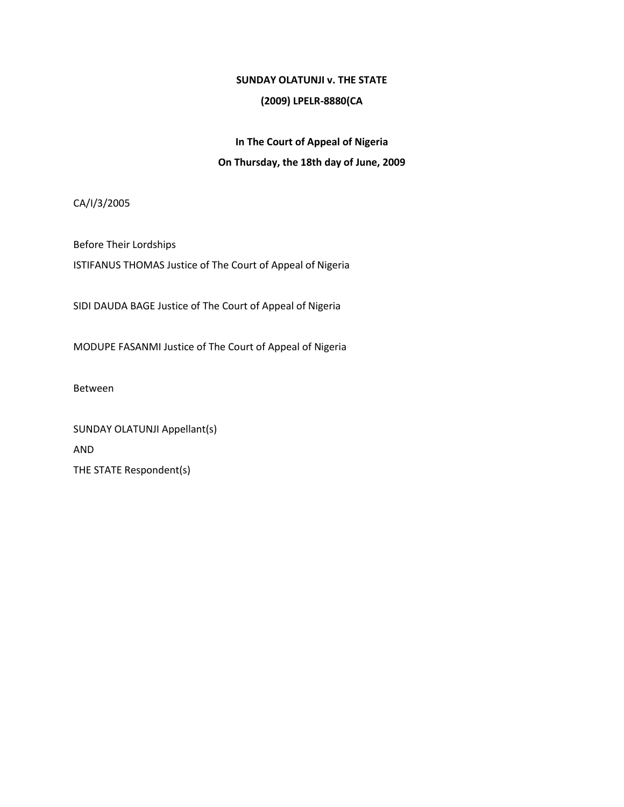## **SUNDAY OLATUNJI v. THE STATE**

## **(2009) LPELR-8880(CA**

# **In The Court of Appeal of Nigeria On Thursday, the 18th day of June, 2009**

CA/I/3/2005

Before Their Lordships ISTIFANUS THOMAS Justice of The Court of Appeal of Nigeria

SIDI DAUDA BAGE Justice of The Court of Appeal of Nigeria

MODUPE FASANMI Justice of The Court of Appeal of Nigeria

Between

SUNDAY OLATUNJI Appellant(s) AND THE STATE Respondent(s)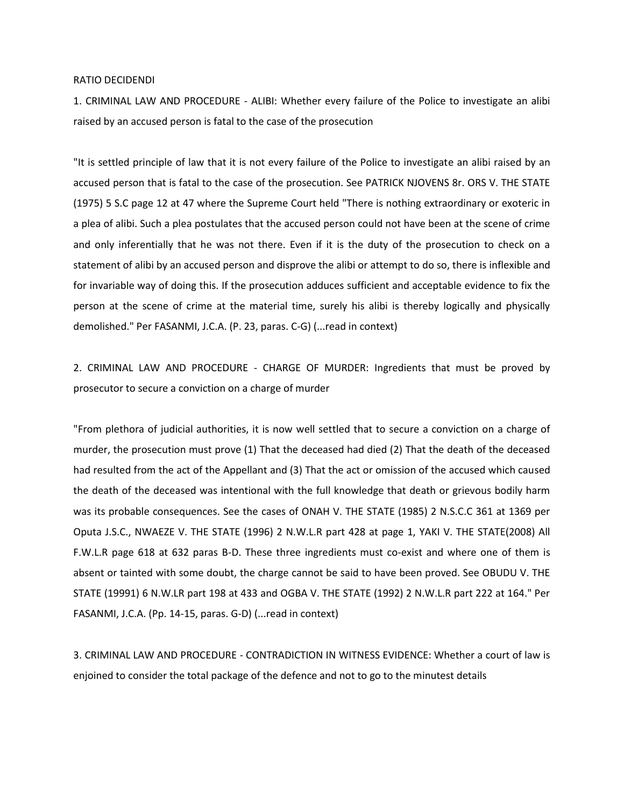#### RATIO DECIDENDI

1. CRIMINAL LAW AND PROCEDURE - ALIBI: Whether every failure of the Police to investigate an alibi raised by an accused person is fatal to the case of the prosecution

"It is settled principle of law that it is not every failure of the Police to investigate an alibi raised by an accused person that is fatal to the case of the prosecution. See PATRICK NJOVENS 8r. ORS V. THE STATE (1975) 5 S.C page 12 at 47 where the Supreme Court held "There is nothing extraordinary or exoteric in a plea of alibi. Such a plea postulates that the accused person could not have been at the scene of crime and only inferentially that he was not there. Even if it is the duty of the prosecution to check on a statement of alibi by an accused person and disprove the alibi or attempt to do so, there is inflexible and for invariable way of doing this. If the prosecution adduces sufficient and acceptable evidence to fix the person at the scene of crime at the material time, surely his alibi is thereby logically and physically demolished." Per FASANMI, J.C.A. (P. 23, paras. C-G) (...read in context)

2. CRIMINAL LAW AND PROCEDURE - CHARGE OF MURDER: Ingredients that must be proved by prosecutor to secure a conviction on a charge of murder

"From plethora of judicial authorities, it is now well settled that to secure a conviction on a charge of murder, the prosecution must prove (1) That the deceased had died (2) That the death of the deceased had resulted from the act of the Appellant and (3) That the act or omission of the accused which caused the death of the deceased was intentional with the full knowledge that death or grievous bodily harm was its probable consequences. See the cases of ONAH V. THE STATE (1985) 2 N.S.C.C 361 at 1369 per Oputa J.S.C., NWAEZE V. THE STATE (1996) 2 N.W.L.R part 428 at page 1, YAKI V. THE STATE(2008) All F.W.L.R page 618 at 632 paras B-D. These three ingredients must co-exist and where one of them is absent or tainted with some doubt, the charge cannot be said to have been proved. See OBUDU V. THE STATE (19991) 6 N.W.LR part 198 at 433 and OGBA V. THE STATE (1992) 2 N.W.L.R part 222 at 164." Per FASANMI, J.C.A. (Pp. 14-15, paras. G-D) (...read in context)

3. CRIMINAL LAW AND PROCEDURE - CONTRADICTION IN WITNESS EVIDENCE: Whether a court of law is enjoined to consider the total package of the defence and not to go to the minutest details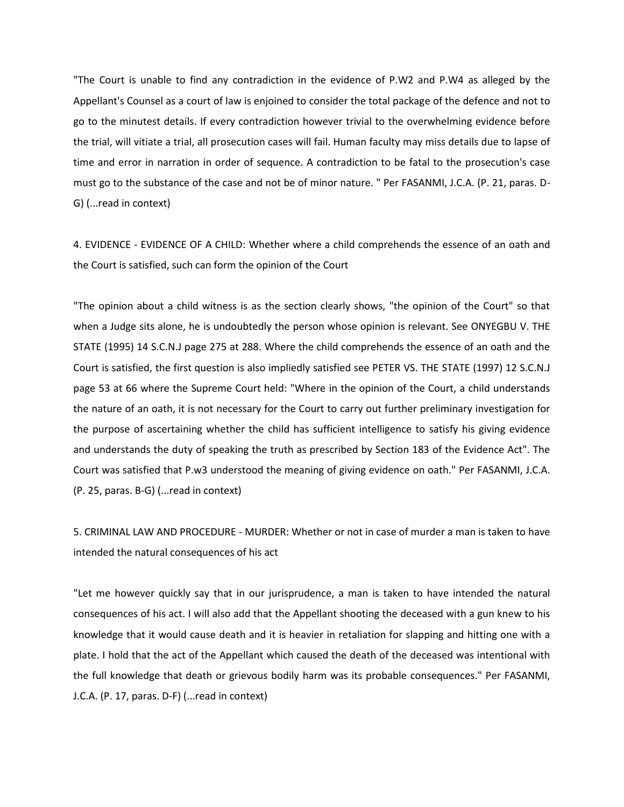"The Court is unable to find any contradiction in the evidence of P.W2 and P.W4 as alleged by the Appellant's Counsel as a court of law is enjoined to consider the total package of the defence and not to go to the minutest details. If every contradiction however trivial to the overwhelming evidence before the trial, will vitiate a trial, all prosecution cases will fail. Human faculty may miss details due to lapse of time and error in narration in order of sequence. A contradiction to be fatal to the prosecution's case must go to the substance of the case and not be of minor nature. " Per FASANMI, J.C.A. (P. 21, paras. D-G) (...read in context)

4. EVIDENCE - EVIDENCE OF A CHILD: Whether where a child comprehends the essence of an oath and the Court is satisfied, such can form the opinion of the Court

"The opinion about a child witness is as the section clearly shows, "the opinion of the Court" so that when a Judge sits alone, he is undoubtedly the person whose opinion is relevant. See ONYEGBU V. THE STATE (1995) 14 S.C.N.J page 275 at 288. Where the child comprehends the essence of an oath and the Court is satisfied, the first question is also impliedly satisfied see PETER VS. THE STATE (1997) 12 S.C.N.J page 53 at 66 where the Supreme Court held: "Where in the opinion of the Court, a child understands the nature of an oath, it is not necessary for the Court to carry out further preliminary investigation for the purpose of ascertaining whether the child has sufficient intelligence to satisfy his giving evidence and understands the duty of speaking the truth as prescribed by Section 183 of the Evidence Act". The Court was satisfied that P.w3 understood the meaning of giving evidence on oath." Per FASANMI, J.C.A. (P. 25, paras. B-G) (...read in context)

5. CRIMINAL LAW AND PROCEDURE - MURDER: Whether or not in case of murder a man is taken to have intended the natural consequences of his act

"Let me however quickly say that in our jurisprudence, a man is taken to have intended the natural consequences of his act. I will also add that the Appellant shooting the deceased with a gun knew to his knowledge that it would cause death and it is heavier in retaliation for slapping and hitting one with a plate. I hold that the act of the Appellant which caused the death of the deceased was intentional with the full knowledge that death or grievous bodily harm was its probable consequences." Per FASANMI, J.C.A. (P. 17, paras. D-F) (...read in context)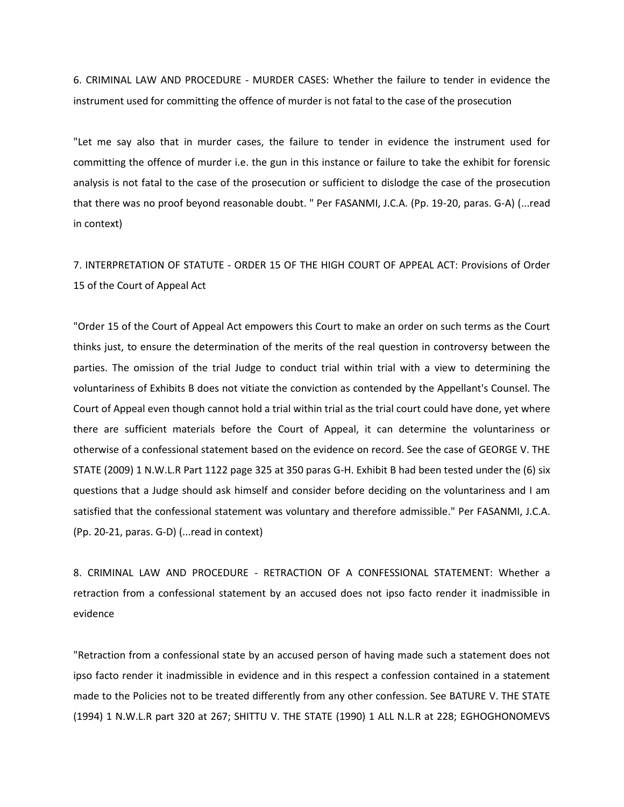6. CRIMINAL LAW AND PROCEDURE - MURDER CASES: Whether the failure to tender in evidence the instrument used for committing the offence of murder is not fatal to the case of the prosecution

"Let me say also that in murder cases, the failure to tender in evidence the instrument used for committing the offence of murder i.e. the gun in this instance or failure to take the exhibit for forensic analysis is not fatal to the case of the prosecution or sufficient to dislodge the case of the prosecution that there was no proof beyond reasonable doubt. " Per FASANMI, J.C.A. (Pp. 19-20, paras. G-A) (...read in context)

7. INTERPRETATION OF STATUTE - ORDER 15 OF THE HIGH COURT OF APPEAL ACT: Provisions of Order 15 of the Court of Appeal Act

"Order 15 of the Court of Appeal Act empowers this Court to make an order on such terms as the Court thinks just, to ensure the determination of the merits of the real question in controversy between the parties. The omission of the trial Judge to conduct trial within trial with a view to determining the voluntariness of Exhibits B does not vitiate the conviction as contended by the Appellant's Counsel. The Court of Appeal even though cannot hold a trial within trial as the trial court could have done, yet where there are sufficient materials before the Court of Appeal, it can determine the voluntariness or otherwise of a confessional statement based on the evidence on record. See the case of GEORGE V. THE STATE (2009) 1 N.W.L.R Part 1122 page 325 at 350 paras G-H. Exhibit B had been tested under the (6) six questions that a Judge should ask himself and consider before deciding on the voluntariness and I am satisfied that the confessional statement was voluntary and therefore admissible." Per FASANMI, J.C.A. (Pp. 20-21, paras. G-D) (...read in context)

8. CRIMINAL LAW AND PROCEDURE - RETRACTION OF A CONFESSIONAL STATEMENT: Whether a retraction from a confessional statement by an accused does not ipso facto render it inadmissible in evidence

"Retraction from a confessional state by an accused person of having made such a statement does not ipso facto render it inadmissible in evidence and in this respect a confession contained in a statement made to the Policies not to be treated differently from any other confession. See BATURE V. THE STATE (1994) 1 N.W.L.R part 320 at 267; SHITTU V. THE STATE (1990) 1 ALL N.L.R at 228; EGHOGHONOMEVS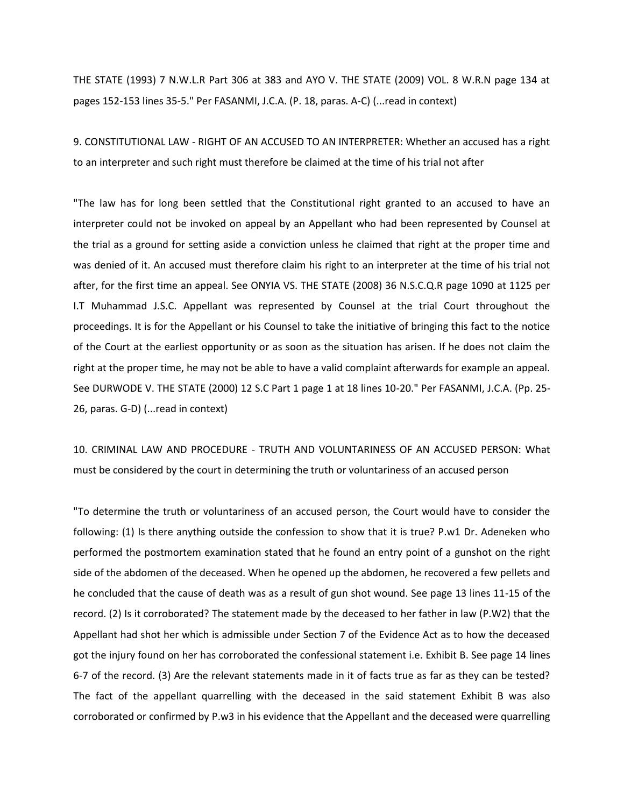THE STATE (1993) 7 N.W.L.R Part 306 at 383 and AYO V. THE STATE (2009) VOL. 8 W.R.N page 134 at pages 152-153 lines 35-5." Per FASANMI, J.C.A. (P. 18, paras. A-C) (...read in context)

9. CONSTITUTIONAL LAW - RIGHT OF AN ACCUSED TO AN INTERPRETER: Whether an accused has a right to an interpreter and such right must therefore be claimed at the time of his trial not after

"The law has for long been settled that the Constitutional right granted to an accused to have an interpreter could not be invoked on appeal by an Appellant who had been represented by Counsel at the trial as a ground for setting aside a conviction unless he claimed that right at the proper time and was denied of it. An accused must therefore claim his right to an interpreter at the time of his trial not after, for the first time an appeal. See ONYIA VS. THE STATE (2008) 36 N.S.C.Q.R page 1090 at 1125 per I.T Muhammad J.S.C. Appellant was represented by Counsel at the trial Court throughout the proceedings. It is for the Appellant or his Counsel to take the initiative of bringing this fact to the notice of the Court at the earliest opportunity or as soon as the situation has arisen. If he does not claim the right at the proper time, he may not be able to have a valid complaint afterwards for example an appeal. See DURWODE V. THE STATE (2000) 12 S.C Part 1 page 1 at 18 lines 10-20." Per FASANMI, J.C.A. (Pp. 25- 26, paras. G-D) (...read in context)

10. CRIMINAL LAW AND PROCEDURE - TRUTH AND VOLUNTARINESS OF AN ACCUSED PERSON: What must be considered by the court in determining the truth or voluntariness of an accused person

"To determine the truth or voluntariness of an accused person, the Court would have to consider the following: (1) Is there anything outside the confession to show that it is true? P.w1 Dr. Adeneken who performed the postmortem examination stated that he found an entry point of a gunshot on the right side of the abdomen of the deceased. When he opened up the abdomen, he recovered a few pellets and he concluded that the cause of death was as a result of gun shot wound. See page 13 lines 11-15 of the record. (2) Is it corroborated? The statement made by the deceased to her father in law (P.W2) that the Appellant had shot her which is admissible under Section 7 of the Evidence Act as to how the deceased got the injury found on her has corroborated the confessional statement i.e. Exhibit B. See page 14 lines 6-7 of the record. (3) Are the relevant statements made in it of facts true as far as they can be tested? The fact of the appellant quarrelling with the deceased in the said statement Exhibit B was also corroborated or confirmed by P.w3 in his evidence that the Appellant and the deceased were quarrelling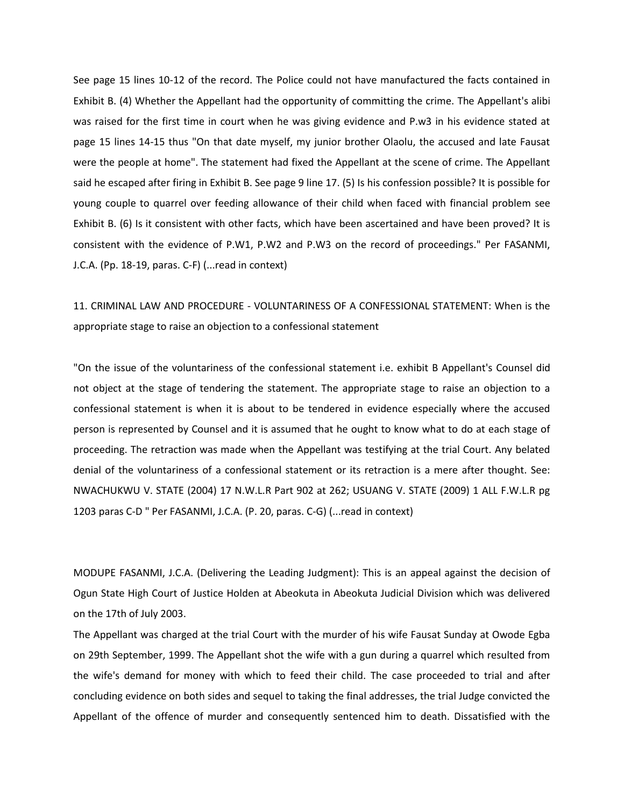See page 15 lines 10-12 of the record. The Police could not have manufactured the facts contained in Exhibit B. (4) Whether the Appellant had the opportunity of committing the crime. The Appellant's alibi was raised for the first time in court when he was giving evidence and P.w3 in his evidence stated at page 15 lines 14-15 thus "On that date myself, my junior brother Olaolu, the accused and late Fausat were the people at home". The statement had fixed the Appellant at the scene of crime. The Appellant said he escaped after firing in Exhibit B. See page 9 line 17. (5) Is his confession possible? It is possible for young couple to quarrel over feeding allowance of their child when faced with financial problem see Exhibit B. (6) Is it consistent with other facts, which have been ascertained and have been proved? It is consistent with the evidence of P.W1, P.W2 and P.W3 on the record of proceedings." Per FASANMI, J.C.A. (Pp. 18-19, paras. C-F) (...read in context)

## 11. CRIMINAL LAW AND PROCEDURE - VOLUNTARINESS OF A CONFESSIONAL STATEMENT: When is the appropriate stage to raise an objection to a confessional statement

"On the issue of the voluntariness of the confessional statement i.e. exhibit B Appellant's Counsel did not object at the stage of tendering the statement. The appropriate stage to raise an objection to a confessional statement is when it is about to be tendered in evidence especially where the accused person is represented by Counsel and it is assumed that he ought to know what to do at each stage of proceeding. The retraction was made when the Appellant was testifying at the trial Court. Any belated denial of the voluntariness of a confessional statement or its retraction is a mere after thought. See: NWACHUKWU V. STATE (2004) 17 N.W.L.R Part 902 at 262; USUANG V. STATE (2009) 1 ALL F.W.L.R pg 1203 paras C-D " Per FASANMI, J.C.A. (P. 20, paras. C-G) (...read in context)

MODUPE FASANMI, J.C.A. (Delivering the Leading Judgment): This is an appeal against the decision of Ogun State High Court of Justice Holden at Abeokuta in Abeokuta Judicial Division which was delivered on the 17th of July 2003.

The Appellant was charged at the trial Court with the murder of his wife Fausat Sunday at Owode Egba on 29th September, 1999. The Appellant shot the wife with a gun during a quarrel which resulted from the wife's demand for money with which to feed their child. The case proceeded to trial and after concluding evidence on both sides and sequel to taking the final addresses, the trial Judge convicted the Appellant of the offence of murder and consequently sentenced him to death. Dissatisfied with the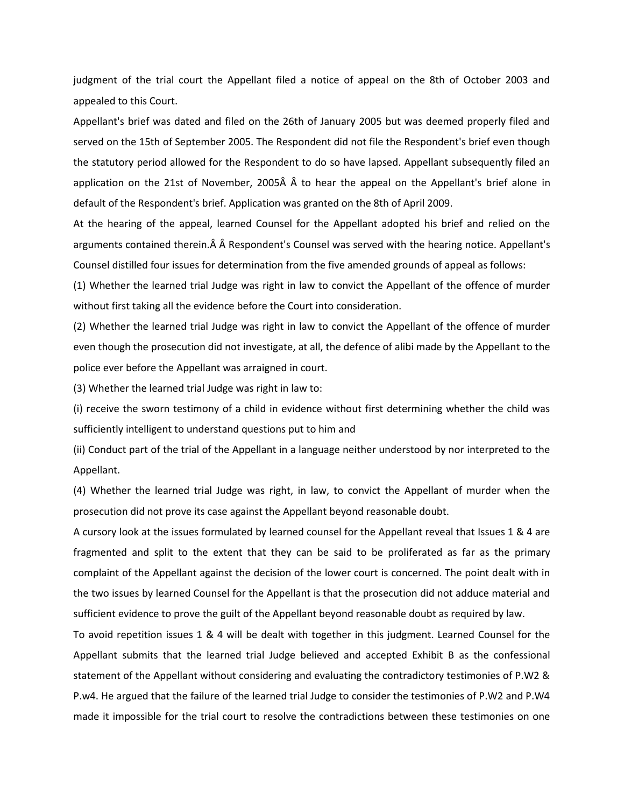judgment of the trial court the Appellant filed a notice of appeal on the 8th of October 2003 and appealed to this Court.

Appellant's brief was dated and filed on the 26th of January 2005 but was deemed properly filed and served on the 15th of September 2005. The Respondent did not file the Respondent's brief even though the statutory period allowed for the Respondent to do so have lapsed. Appellant subsequently filed an application on the 21st of November, 2005Â Â to hear the appeal on the Appellant's brief alone in default of the Respondent's brief. Application was granted on the 8th of April 2009.

At the hearing of the appeal, learned Counsel for the Appellant adopted his brief and relied on the arguments contained therein. Â Â Respondent's Counsel was served with the hearing notice. Appellant's Counsel distilled four issues for determination from the five amended grounds of appeal as follows:

(1) Whether the learned trial Judge was right in law to convict the Appellant of the offence of murder without first taking all the evidence before the Court into consideration.

(2) Whether the learned trial Judge was right in law to convict the Appellant of the offence of murder even though the prosecution did not investigate, at all, the defence of alibi made by the Appellant to the police ever before the Appellant was arraigned in court.

(3) Whether the learned trial Judge was right in law to:

(i) receive the sworn testimony of a child in evidence without first determining whether the child was sufficiently intelligent to understand questions put to him and

(ii) Conduct part of the trial of the Appellant in a language neither understood by nor interpreted to the Appellant.

(4) Whether the learned trial Judge was right, in law, to convict the Appellant of murder when the prosecution did not prove its case against the Appellant beyond reasonable doubt.

A cursory look at the issues formulated by learned counsel for the Appellant reveal that Issues 1 & 4 are fragmented and split to the extent that they can be said to be proliferated as far as the primary complaint of the Appellant against the decision of the lower court is concerned. The point dealt with in the two issues by learned Counsel for the Appellant is that the prosecution did not adduce material and sufficient evidence to prove the guilt of the Appellant beyond reasonable doubt as required by law.

To avoid repetition issues 1 & 4 will be dealt with together in this judgment. Learned Counsel for the Appellant submits that the learned trial Judge believed and accepted Exhibit B as the confessional statement of the Appellant without considering and evaluating the contradictory testimonies of P.W2 & P.w4. He argued that the failure of the learned trial Judge to consider the testimonies of P.W2 and P.W4 made it impossible for the trial court to resolve the contradictions between these testimonies on one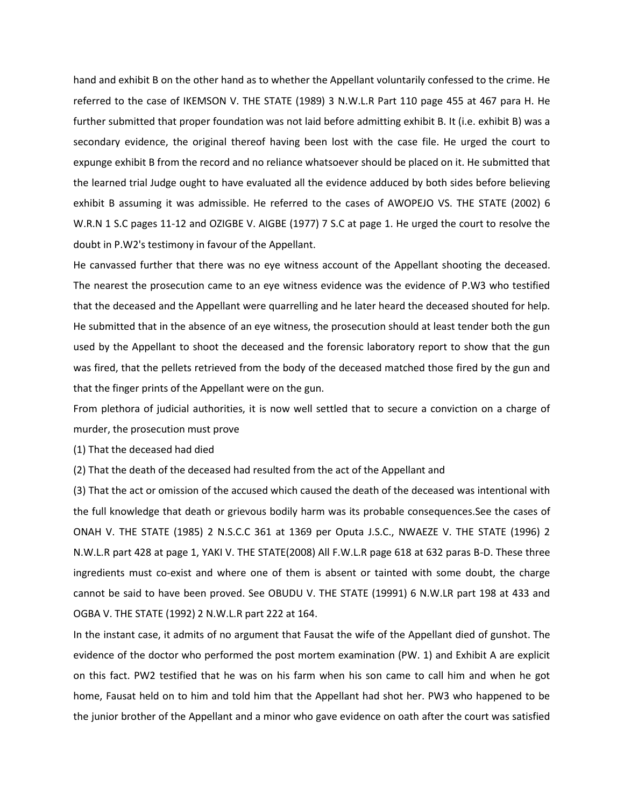hand and exhibit B on the other hand as to whether the Appellant voluntarily confessed to the crime. He referred to the case of IKEMSON V. THE STATE (1989) 3 N.W.L.R Part 110 page 455 at 467 para H. He further submitted that proper foundation was not laid before admitting exhibit B. It (i.e. exhibit B) was a secondary evidence, the original thereof having been lost with the case file. He urged the court to expunge exhibit B from the record and no reliance whatsoever should be placed on it. He submitted that the learned trial Judge ought to have evaluated all the evidence adduced by both sides before believing exhibit B assuming it was admissible. He referred to the cases of AWOPEJO VS. THE STATE (2002) 6 W.R.N 1 S.C pages 11-12 and OZIGBE V. AIGBE (1977) 7 S.C at page 1. He urged the court to resolve the doubt in P.W2's testimony in favour of the Appellant.

He canvassed further that there was no eye witness account of the Appellant shooting the deceased. The nearest the prosecution came to an eye witness evidence was the evidence of P.W3 who testified that the deceased and the Appellant were quarrelling and he later heard the deceased shouted for help. He submitted that in the absence of an eye witness, the prosecution should at least tender both the gun used by the Appellant to shoot the deceased and the forensic laboratory report to show that the gun was fired, that the pellets retrieved from the body of the deceased matched those fired by the gun and that the finger prints of the Appellant were on the gun.

From plethora of judicial authorities, it is now well settled that to secure a conviction on a charge of murder, the prosecution must prove

(1) That the deceased had died

(2) That the death of the deceased had resulted from the act of the Appellant and

(3) That the act or omission of the accused which caused the death of the deceased was intentional with the full knowledge that death or grievous bodily harm was its probable consequences.See the cases of ONAH V. THE STATE (1985) 2 N.S.C.C 361 at 1369 per Oputa J.S.C., NWAEZE V. THE STATE (1996) 2 N.W.L.R part 428 at page 1, YAKI V. THE STATE(2008) All F.W.L.R page 618 at 632 paras B-D. These three ingredients must co-exist and where one of them is absent or tainted with some doubt, the charge cannot be said to have been proved. See OBUDU V. THE STATE (19991) 6 N.W.LR part 198 at 433 and OGBA V. THE STATE (1992) 2 N.W.L.R part 222 at 164.

In the instant case, it admits of no argument that Fausat the wife of the Appellant died of gunshot. The evidence of the doctor who performed the post mortem examination (PW. 1) and Exhibit A are explicit on this fact. PW2 testified that he was on his farm when his son came to call him and when he got home, Fausat held on to him and told him that the Appellant had shot her. PW3 who happened to be the junior brother of the Appellant and a minor who gave evidence on oath after the court was satisfied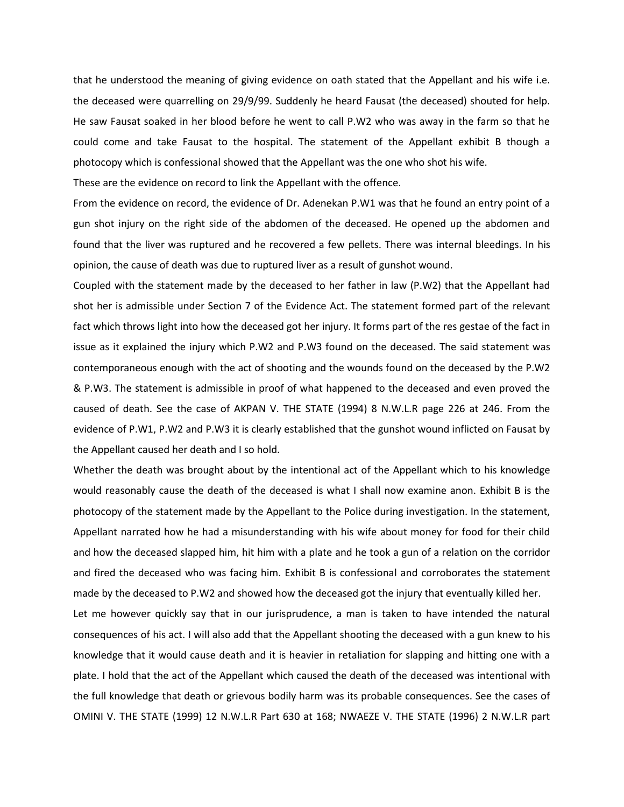that he understood the meaning of giving evidence on oath stated that the Appellant and his wife i.e. the deceased were quarrelling on 29/9/99. Suddenly he heard Fausat (the deceased) shouted for help. He saw Fausat soaked in her blood before he went to call P.W2 who was away in the farm so that he could come and take Fausat to the hospital. The statement of the Appellant exhibit B though a photocopy which is confessional showed that the Appellant was the one who shot his wife.

These are the evidence on record to link the Appellant with the offence.

From the evidence on record, the evidence of Dr. Adenekan P.W1 was that he found an entry point of a gun shot injury on the right side of the abdomen of the deceased. He opened up the abdomen and found that the liver was ruptured and he recovered a few pellets. There was internal bleedings. In his opinion, the cause of death was due to ruptured liver as a result of gunshot wound.

Coupled with the statement made by the deceased to her father in law (P.W2) that the Appellant had shot her is admissible under Section 7 of the Evidence Act. The statement formed part of the relevant fact which throws light into how the deceased got her injury. It forms part of the res gestae of the fact in issue as it explained the injury which P.W2 and P.W3 found on the deceased. The said statement was contemporaneous enough with the act of shooting and the wounds found on the deceased by the P.W2 & P.W3. The statement is admissible in proof of what happened to the deceased and even proved the caused of death. See the case of AKPAN V. THE STATE (1994) 8 N.W.L.R page 226 at 246. From the evidence of P.W1, P.W2 and P.W3 it is clearly established that the gunshot wound inflicted on Fausat by the Appellant caused her death and I so hold.

Whether the death was brought about by the intentional act of the Appellant which to his knowledge would reasonably cause the death of the deceased is what I shall now examine anon. Exhibit B is the photocopy of the statement made by the Appellant to the Police during investigation. In the statement, Appellant narrated how he had a misunderstanding with his wife about money for food for their child and how the deceased slapped him, hit him with a plate and he took a gun of a relation on the corridor and fired the deceased who was facing him. Exhibit B is confessional and corroborates the statement made by the deceased to P.W2 and showed how the deceased got the injury that eventually killed her.

Let me however quickly say that in our jurisprudence, a man is taken to have intended the natural consequences of his act. I will also add that the Appellant shooting the deceased with a gun knew to his knowledge that it would cause death and it is heavier in retaliation for slapping and hitting one with a plate. I hold that the act of the Appellant which caused the death of the deceased was intentional with the full knowledge that death or grievous bodily harm was its probable consequences. See the cases of OMINI V. THE STATE (1999) 12 N.W.L.R Part 630 at 168; NWAEZE V. THE STATE (1996) 2 N.W.L.R part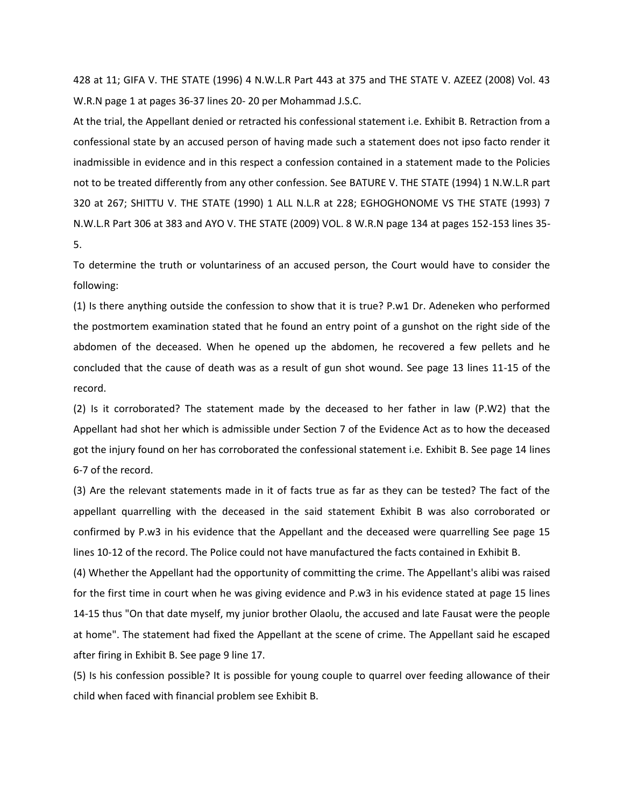428 at 11; GIFA V. THE STATE (1996) 4 N.W.L.R Part 443 at 375 and THE STATE V. AZEEZ (2008) Vol. 43 W.R.N page 1 at pages 36-37 lines 20- 20 per Mohammad J.S.C.

At the trial, the Appellant denied or retracted his confessional statement i.e. Exhibit B. Retraction from a confessional state by an accused person of having made such a statement does not ipso facto render it inadmissible in evidence and in this respect a confession contained in a statement made to the Policies not to be treated differently from any other confession. See BATURE V. THE STATE (1994) 1 N.W.L.R part 320 at 267; SHITTU V. THE STATE (1990) 1 ALL N.L.R at 228; EGHOGHONOME VS THE STATE (1993) 7 N.W.L.R Part 306 at 383 and AYO V. THE STATE (2009) VOL. 8 W.R.N page 134 at pages 152-153 lines 35- 5.

To determine the truth or voluntariness of an accused person, the Court would have to consider the following:

(1) Is there anything outside the confession to show that it is true? P.w1 Dr. Adeneken who performed the postmortem examination stated that he found an entry point of a gunshot on the right side of the abdomen of the deceased. When he opened up the abdomen, he recovered a few pellets and he concluded that the cause of death was as a result of gun shot wound. See page 13 lines 11-15 of the record.

(2) Is it corroborated? The statement made by the deceased to her father in law (P.W2) that the Appellant had shot her which is admissible under Section 7 of the Evidence Act as to how the deceased got the injury found on her has corroborated the confessional statement i.e. Exhibit B. See page 14 lines 6-7 of the record.

(3) Are the relevant statements made in it of facts true as far as they can be tested? The fact of the appellant quarrelling with the deceased in the said statement Exhibit B was also corroborated or confirmed by P.w3 in his evidence that the Appellant and the deceased were quarrelling See page 15 lines 10-12 of the record. The Police could not have manufactured the facts contained in Exhibit B.

(4) Whether the Appellant had the opportunity of committing the crime. The Appellant's alibi was raised for the first time in court when he was giving evidence and P.w3 in his evidence stated at page 15 lines 14-15 thus "On that date myself, my junior brother Olaolu, the accused and late Fausat were the people at home". The statement had fixed the Appellant at the scene of crime. The Appellant said he escaped after firing in Exhibit B. See page 9 line 17.

(5) Is his confession possible? It is possible for young couple to quarrel over feeding allowance of their child when faced with financial problem see Exhibit B.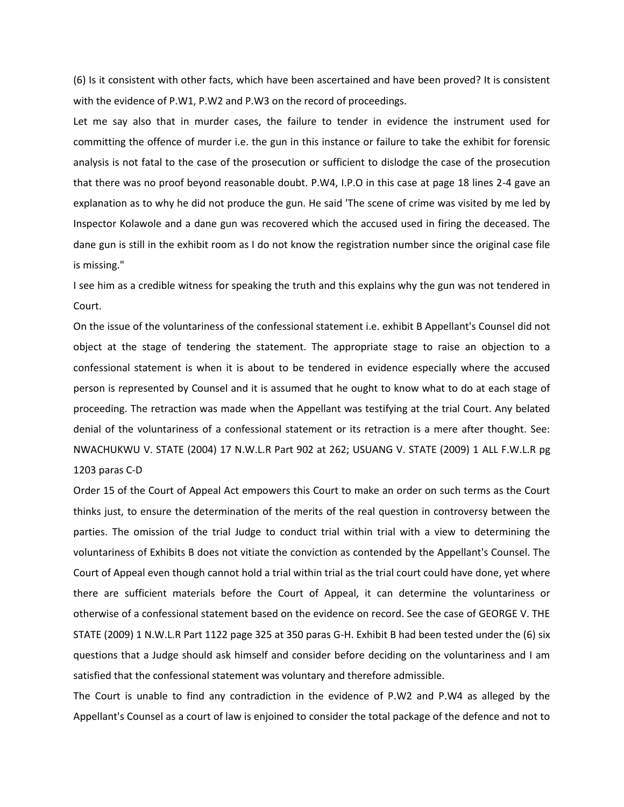(6) Is it consistent with other facts, which have been ascertained and have been proved? It is consistent with the evidence of P.W1, P.W2 and P.W3 on the record of proceedings.

Let me say also that in murder cases, the failure to tender in evidence the instrument used for committing the offence of murder i.e. the gun in this instance or failure to take the exhibit for forensic analysis is not fatal to the case of the prosecution or sufficient to dislodge the case of the prosecution that there was no proof beyond reasonable doubt. P.W4, I.P.O in this case at page 18 lines 2-4 gave an explanation as to why he did not produce the gun. He said 'The scene of crime was visited by me led by Inspector Kolawole and a dane gun was recovered which the accused used in firing the deceased. The dane gun is still in the exhibit room as I do not know the registration number since the original case file is missing."

I see him as a credible witness for speaking the truth and this explains why the gun was not tendered in Court.

On the issue of the voluntariness of the confessional statement i.e. exhibit B Appellant's Counsel did not object at the stage of tendering the statement. The appropriate stage to raise an objection to a confessional statement is when it is about to be tendered in evidence especially where the accused person is represented by Counsel and it is assumed that he ought to know what to do at each stage of proceeding. The retraction was made when the Appellant was testifying at the trial Court. Any belated denial of the voluntariness of a confessional statement or its retraction is a mere after thought. See: NWACHUKWU V. STATE (2004) 17 N.W.L.R Part 902 at 262; USUANG V. STATE (2009) 1 ALL F.W.L.R pg 1203 paras C-D

Order 15 of the Court of Appeal Act empowers this Court to make an order on such terms as the Court thinks just, to ensure the determination of the merits of the real question in controversy between the parties. The omission of the trial Judge to conduct trial within trial with a view to determining the voluntariness of Exhibits B does not vitiate the conviction as contended by the Appellant's Counsel. The Court of Appeal even though cannot hold a trial within trial as the trial court could have done, yet where there are sufficient materials before the Court of Appeal, it can determine the voluntariness or otherwise of a confessional statement based on the evidence on record. See the case of GEORGE V. THE STATE (2009) 1 N.W.L.R Part 1122 page 325 at 350 paras G-H. Exhibit B had been tested under the (6) six questions that a Judge should ask himself and consider before deciding on the voluntariness and I am satisfied that the confessional statement was voluntary and therefore admissible.

The Court is unable to find any contradiction in the evidence of P.W2 and P.W4 as alleged by the Appellant's Counsel as a court of law is enjoined to consider the total package of the defence and not to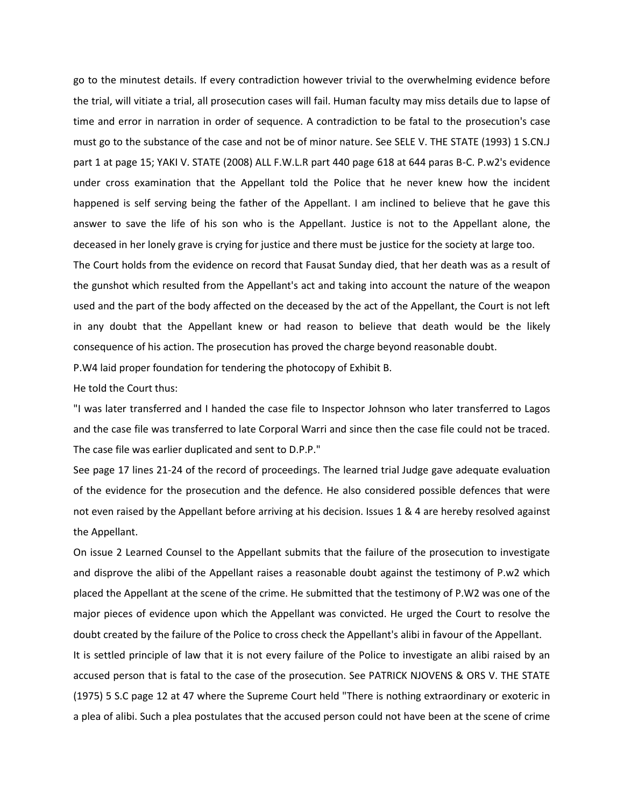go to the minutest details. If every contradiction however trivial to the overwhelming evidence before the trial, will vitiate a trial, all prosecution cases will fail. Human faculty may miss details due to lapse of time and error in narration in order of sequence. A contradiction to be fatal to the prosecution's case must go to the substance of the case and not be of minor nature. See SELE V. THE STATE (1993) 1 S.CN.J part 1 at page 15; YAKI V. STATE (2008) ALL F.W.L.R part 440 page 618 at 644 paras B-C. P.w2's evidence under cross examination that the Appellant told the Police that he never knew how the incident happened is self serving being the father of the Appellant. I am inclined to believe that he gave this answer to save the life of his son who is the Appellant. Justice is not to the Appellant alone, the deceased in her lonely grave is crying for justice and there must be justice for the society at large too.

The Court holds from the evidence on record that Fausat Sunday died, that her death was as a result of the gunshot which resulted from the Appellant's act and taking into account the nature of the weapon used and the part of the body affected on the deceased by the act of the Appellant, the Court is not left in any doubt that the Appellant knew or had reason to believe that death would be the likely consequence of his action. The prosecution has proved the charge beyond reasonable doubt.

P.W4 laid proper foundation for tendering the photocopy of Exhibit B.

He told the Court thus:

"I was later transferred and I handed the case file to Inspector Johnson who later transferred to Lagos and the case file was transferred to late Corporal Warri and since then the case file could not be traced. The case file was earlier duplicated and sent to D.P.P."

See page 17 lines 21-24 of the record of proceedings. The learned trial Judge gave adequate evaluation of the evidence for the prosecution and the defence. He also considered possible defences that were not even raised by the Appellant before arriving at his decision. Issues 1 & 4 are hereby resolved against the Appellant.

On issue 2 Learned Counsel to the Appellant submits that the failure of the prosecution to investigate and disprove the alibi of the Appellant raises a reasonable doubt against the testimony of P.w2 which placed the Appellant at the scene of the crime. He submitted that the testimony of P.W2 was one of the major pieces of evidence upon which the Appellant was convicted. He urged the Court to resolve the doubt created by the failure of the Police to cross check the Appellant's alibi in favour of the Appellant.

It is settled principle of law that it is not every failure of the Police to investigate an alibi raised by an accused person that is fatal to the case of the prosecution. See PATRICK NJOVENS & ORS V. THE STATE (1975) 5 S.C page 12 at 47 where the Supreme Court held "There is nothing extraordinary or exoteric in a plea of alibi. Such a plea postulates that the accused person could not have been at the scene of crime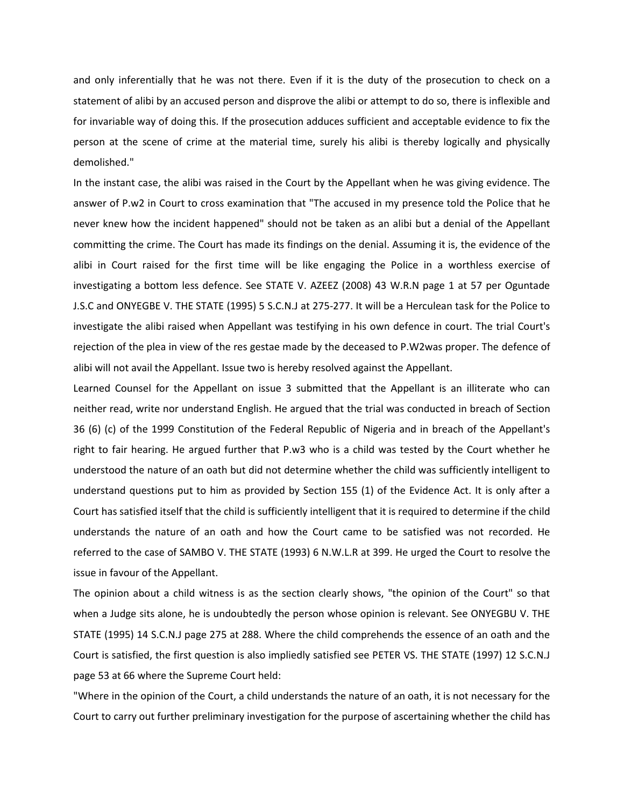and only inferentially that he was not there. Even if it is the duty of the prosecution to check on a statement of alibi by an accused person and disprove the alibi or attempt to do so, there is inflexible and for invariable way of doing this. If the prosecution adduces sufficient and acceptable evidence to fix the person at the scene of crime at the material time, surely his alibi is thereby logically and physically demolished."

In the instant case, the alibi was raised in the Court by the Appellant when he was giving evidence. The answer of P.w2 in Court to cross examination that "The accused in my presence told the Police that he never knew how the incident happened" should not be taken as an alibi but a denial of the Appellant committing the crime. The Court has made its findings on the denial. Assuming it is, the evidence of the alibi in Court raised for the first time will be like engaging the Police in a worthless exercise of investigating a bottom less defence. See STATE V. AZEEZ (2008) 43 W.R.N page 1 at 57 per Oguntade J.S.C and ONYEGBE V. THE STATE (1995) 5 S.C.N.J at 275-277. It will be a Herculean task for the Police to investigate the alibi raised when Appellant was testifying in his own defence in court. The trial Court's rejection of the plea in view of the res gestae made by the deceased to P.W2was proper. The defence of alibi will not avail the Appellant. Issue two is hereby resolved against the Appellant.

Learned Counsel for the Appellant on issue 3 submitted that the Appellant is an illiterate who can neither read, write nor understand English. He argued that the trial was conducted in breach of Section 36 (6) (c) of the 1999 Constitution of the Federal Republic of Nigeria and in breach of the Appellant's right to fair hearing. He argued further that P.w3 who is a child was tested by the Court whether he understood the nature of an oath but did not determine whether the child was sufficiently intelligent to understand questions put to him as provided by Section 155 (1) of the Evidence Act. It is only after a Court has satisfied itself that the child is sufficiently intelligent that it is required to determine if the child understands the nature of an oath and how the Court came to be satisfied was not recorded. He referred to the case of SAMBO V. THE STATE (1993) 6 N.W.L.R at 399. He urged the Court to resolve the issue in favour of the Appellant.

The opinion about a child witness is as the section clearly shows, "the opinion of the Court" so that when a Judge sits alone, he is undoubtedly the person whose opinion is relevant. See ONYEGBU V. THE STATE (1995) 14 S.C.N.J page 275 at 288. Where the child comprehends the essence of an oath and the Court is satisfied, the first question is also impliedly satisfied see PETER VS. THE STATE (1997) 12 S.C.N.J page 53 at 66 where the Supreme Court held:

"Where in the opinion of the Court, a child understands the nature of an oath, it is not necessary for the Court to carry out further preliminary investigation for the purpose of ascertaining whether the child has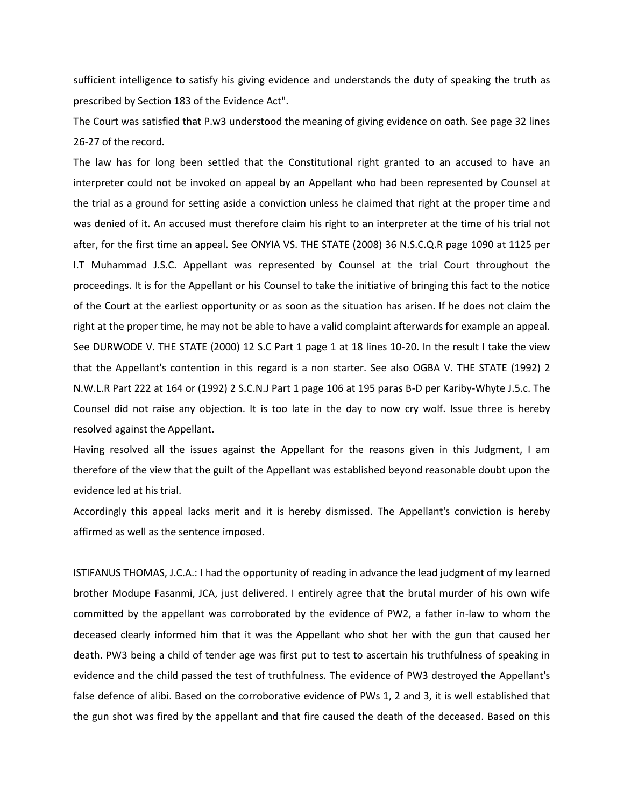sufficient intelligence to satisfy his giving evidence and understands the duty of speaking the truth as prescribed by Section 183 of the Evidence Act".

The Court was satisfied that P.w3 understood the meaning of giving evidence on oath. See page 32 lines 26-27 of the record.

The law has for long been settled that the Constitutional right granted to an accused to have an interpreter could not be invoked on appeal by an Appellant who had been represented by Counsel at the trial as a ground for setting aside a conviction unless he claimed that right at the proper time and was denied of it. An accused must therefore claim his right to an interpreter at the time of his trial not after, for the first time an appeal. See ONYIA VS. THE STATE (2008) 36 N.S.C.Q.R page 1090 at 1125 per I.T Muhammad J.S.C. Appellant was represented by Counsel at the trial Court throughout the proceedings. It is for the Appellant or his Counsel to take the initiative of bringing this fact to the notice of the Court at the earliest opportunity or as soon as the situation has arisen. If he does not claim the right at the proper time, he may not be able to have a valid complaint afterwards for example an appeal. See DURWODE V. THE STATE (2000) 12 S.C Part 1 page 1 at 18 lines 10-20. In the result I take the view that the Appellant's contention in this regard is a non starter. See also OGBA V. THE STATE (1992) 2 N.W.L.R Part 222 at 164 or (1992) 2 S.C.N.J Part 1 page 106 at 195 paras B-D per Kariby-Whyte J.5.c. The Counsel did not raise any objection. It is too late in the day to now cry wolf. Issue three is hereby resolved against the Appellant.

Having resolved all the issues against the Appellant for the reasons given in this Judgment, I am therefore of the view that the guilt of the Appellant was established beyond reasonable doubt upon the evidence led at his trial.

Accordingly this appeal lacks merit and it is hereby dismissed. The Appellant's conviction is hereby affirmed as well as the sentence imposed.

ISTIFANUS THOMAS, J.C.A.: I had the opportunity of reading in advance the lead judgment of my learned brother Modupe Fasanmi, JCA, just delivered. I entirely agree that the brutal murder of his own wife committed by the appellant was corroborated by the evidence of PW2, a father in-law to whom the deceased clearly informed him that it was the Appellant who shot her with the gun that caused her death. PW3 being a child of tender age was first put to test to ascertain his truthfulness of speaking in evidence and the child passed the test of truthfulness. The evidence of PW3 destroyed the Appellant's false defence of alibi. Based on the corroborative evidence of PWs 1, 2 and 3, it is well established that the gun shot was fired by the appellant and that fire caused the death of the deceased. Based on this